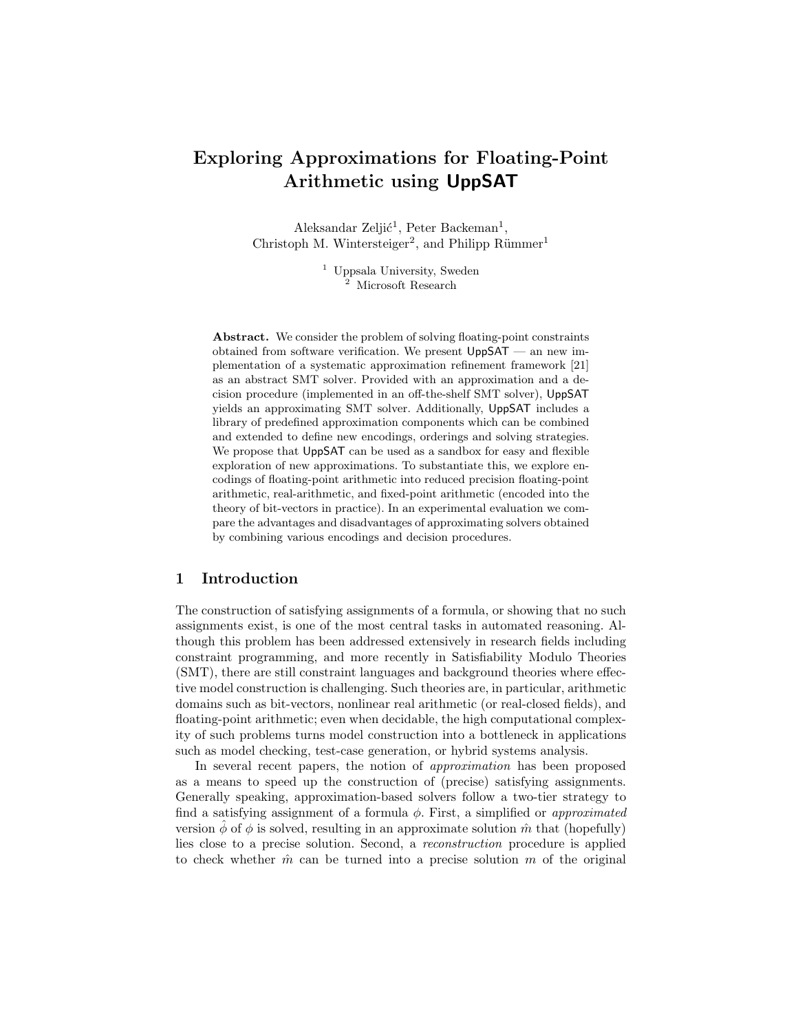# Exploring Approximations for Floating-Point Arithmetic using UppSAT

Aleksandar Zeljić<sup>1</sup>, Peter Backeman<sup>1</sup>, Christoph M. Wintersteiger<sup>2</sup>, and Philipp Rümmer<sup>1</sup>

> <sup>1</sup> Uppsala University, Sweden <sup>2</sup> Microsoft Research

Abstract. We consider the problem of solving floating-point constraints obtained from software verification. We present UppSAT — an new implementation of a systematic approximation refinement framework [21] as an abstract SMT solver. Provided with an approximation and a decision procedure (implemented in an off-the-shelf SMT solver), UppSAT yields an approximating SMT solver. Additionally, UppSAT includes a library of predefined approximation components which can be combined and extended to define new encodings, orderings and solving strategies. We propose that UppSAT can be used as a sandbox for easy and flexible exploration of new approximations. To substantiate this, we explore encodings of floating-point arithmetic into reduced precision floating-point arithmetic, real-arithmetic, and fixed-point arithmetic (encoded into the theory of bit-vectors in practice). In an experimental evaluation we compare the advantages and disadvantages of approximating solvers obtained by combining various encodings and decision procedures.

# 1 Introduction

The construction of satisfying assignments of a formula, or showing that no such assignments exist, is one of the most central tasks in automated reasoning. Although this problem has been addressed extensively in research fields including constraint programming, and more recently in Satisfiability Modulo Theories (SMT), there are still constraint languages and background theories where effective model construction is challenging. Such theories are, in particular, arithmetic domains such as bit-vectors, nonlinear real arithmetic (or real-closed fields), and floating-point arithmetic; even when decidable, the high computational complexity of such problems turns model construction into a bottleneck in applications such as model checking, test-case generation, or hybrid systems analysis.

In several recent papers, the notion of approximation has been proposed as a means to speed up the construction of (precise) satisfying assignments. Generally speaking, approximation-based solvers follow a two-tier strategy to find a satisfying assignment of a formula  $\phi$ . First, a simplified or *approximated* version  $\phi$  of  $\phi$  is solved, resulting in an approximate solution  $\hat{m}$  that (hopefully) lies close to a precise solution. Second, a reconstruction procedure is applied to check whether  $\hat{m}$  can be turned into a precise solution m of the original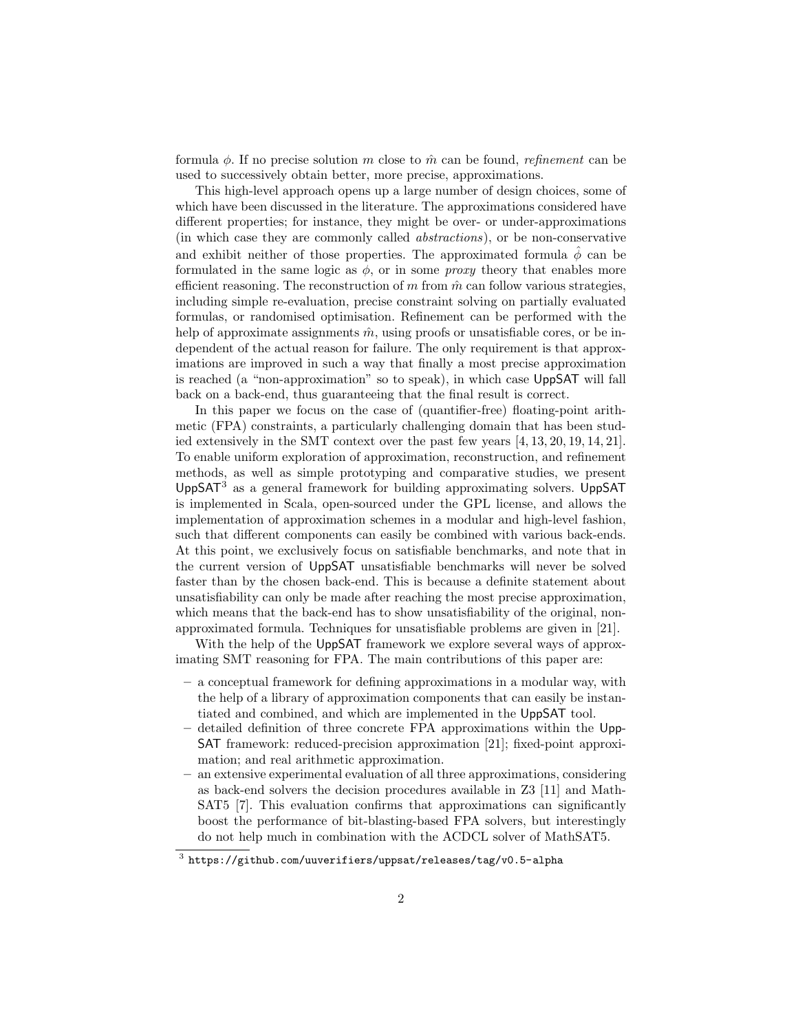formula  $\phi$ . If no precise solution m close to  $\hat{m}$  can be found, refinement can be used to successively obtain better, more precise, approximations.

This high-level approach opens up a large number of design choices, some of which have been discussed in the literature. The approximations considered have different properties; for instance, they might be over- or under-approximations (in which case they are commonly called abstractions), or be non-conservative and exhibit neither of those properties. The approximated formula  $\hat{\phi}$  can be formulated in the same logic as  $\phi$ , or in some *proxy* theory that enables more efficient reasoning. The reconstruction of  $m$  from  $\hat{m}$  can follow various strategies, including simple re-evaluation, precise constraint solving on partially evaluated formulas, or randomised optimisation. Refinement can be performed with the help of approximate assignments  $\hat{m}$ , using proofs or unsatisfiable cores, or be independent of the actual reason for failure. The only requirement is that approximations are improved in such a way that finally a most precise approximation is reached (a "non-approximation" so to speak), in which case UppSAT will fall back on a back-end, thus guaranteeing that the final result is correct.

In this paper we focus on the case of (quantifier-free) floating-point arithmetic (FPA) constraints, a particularly challenging domain that has been studied extensively in the SMT context over the past few years [4, 13, 20, 19, 14, 21]. To enable uniform exploration of approximation, reconstruction, and refinement methods, as well as simple prototyping and comparative studies, we present UppSAT $3$  as a general framework for building approximating solvers. UppSAT is implemented in Scala, open-sourced under the GPL license, and allows the implementation of approximation schemes in a modular and high-level fashion, such that different components can easily be combined with various back-ends. At this point, we exclusively focus on satisfiable benchmarks, and note that in the current version of UppSAT unsatisfiable benchmarks will never be solved faster than by the chosen back-end. This is because a definite statement about unsatisfiability can only be made after reaching the most precise approximation, which means that the back-end has to show unsatisfiability of the original, nonapproximated formula. Techniques for unsatisfiable problems are given in [21].

With the help of the UppSAT framework we explore several ways of approximating SMT reasoning for FPA. The main contributions of this paper are:

- a conceptual framework for defining approximations in a modular way, with the help of a library of approximation components that can easily be instantiated and combined, and which are implemented in the UppSAT tool.
- detailed definition of three concrete FPA approximations within the Upp-SAT framework: reduced-precision approximation [21]; fixed-point approximation; and real arithmetic approximation.
- an extensive experimental evaluation of all three approximations, considering as back-end solvers the decision procedures available in Z3 [11] and Math-SAT5 [7]. This evaluation confirms that approximations can significantly boost the performance of bit-blasting-based FPA solvers, but interestingly do not help much in combination with the ACDCL solver of MathSAT5.

 $^3$  https://github.com/uuverifiers/uppsat/releases/tag/v0.5-alpha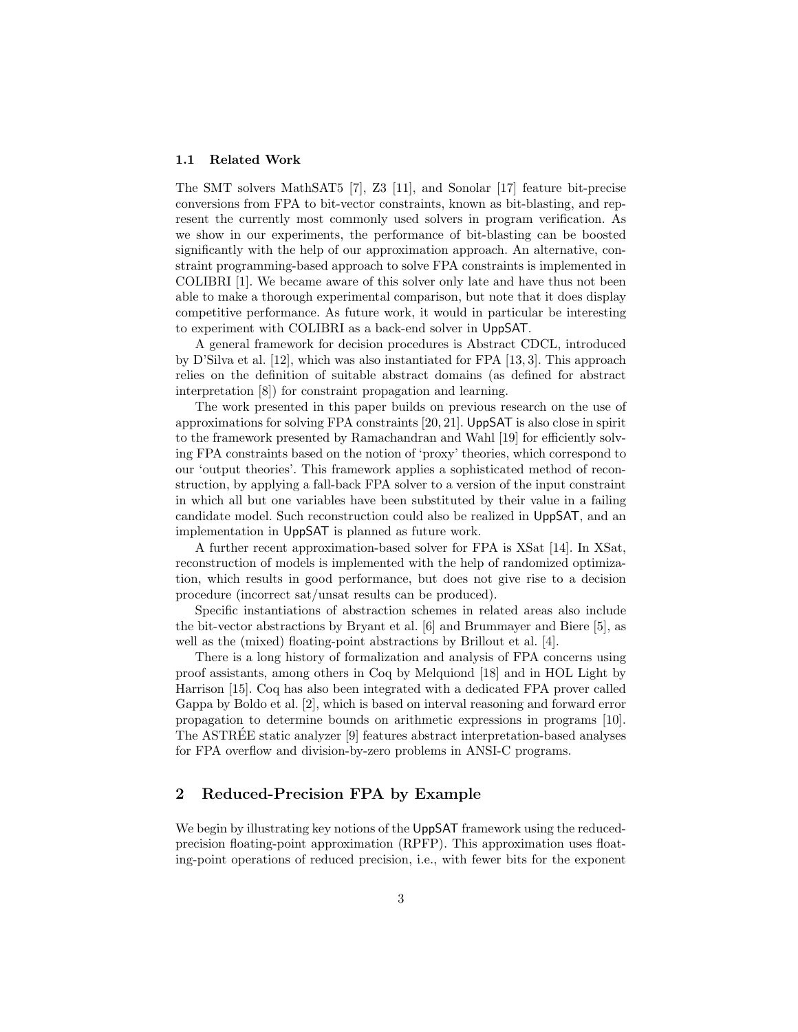#### 1.1 Related Work

The SMT solvers MathSAT5 [7], Z3 [11], and Sonolar [17] feature bit-precise conversions from FPA to bit-vector constraints, known as bit-blasting, and represent the currently most commonly used solvers in program verification. As we show in our experiments, the performance of bit-blasting can be boosted significantly with the help of our approximation approach. An alternative, constraint programming-based approach to solve FPA constraints is implemented in COLIBRI [1]. We became aware of this solver only late and have thus not been able to make a thorough experimental comparison, but note that it does display competitive performance. As future work, it would in particular be interesting to experiment with COLIBRI as a back-end solver in UppSAT.

A general framework for decision procedures is Abstract CDCL, introduced by D'Silva et al. [12], which was also instantiated for FPA [13, 3]. This approach relies on the definition of suitable abstract domains (as defined for abstract interpretation [8]) for constraint propagation and learning.

The work presented in this paper builds on previous research on the use of approximations for solving FPA constraints [20, 21]. UppSAT is also close in spirit to the framework presented by Ramachandran and Wahl [19] for efficiently solving FPA constraints based on the notion of 'proxy' theories, which correspond to our 'output theories'. This framework applies a sophisticated method of reconstruction, by applying a fall-back FPA solver to a version of the input constraint in which all but one variables have been substituted by their value in a failing candidate model. Such reconstruction could also be realized in UppSAT, and an implementation in UppSAT is planned as future work.

A further recent approximation-based solver for FPA is XSat [14]. In XSat, reconstruction of models is implemented with the help of randomized optimization, which results in good performance, but does not give rise to a decision procedure (incorrect sat/unsat results can be produced).

Specific instantiations of abstraction schemes in related areas also include the bit-vector abstractions by Bryant et al. [6] and Brummayer and Biere [5], as well as the (mixed) floating-point abstractions by Brillout et al. [4].

There is a long history of formalization and analysis of FPA concerns using proof assistants, among others in Coq by Melquiond [18] and in HOL Light by Harrison [15]. Coq has also been integrated with a dedicated FPA prover called Gappa by Boldo et al. [2], which is based on interval reasoning and forward error propagation to determine bounds on arithmetic expressions in programs [10]. The ASTREE static analyzer [9] features abstract interpretation-based analyses ´ for FPA overflow and division-by-zero problems in ANSI-C programs.

### 2 Reduced-Precision FPA by Example

We begin by illustrating key notions of the UppSAT framework using the reducedprecision floating-point approximation (RPFP). This approximation uses floating-point operations of reduced precision, i.e., with fewer bits for the exponent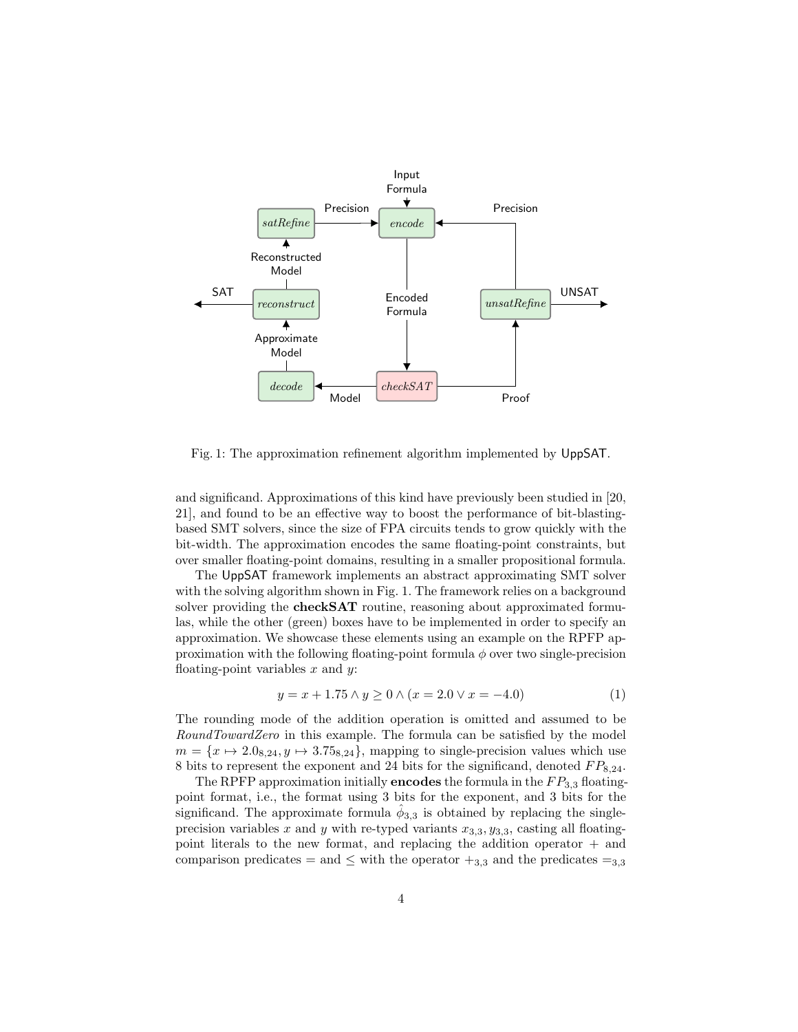

Fig. 1: The approximation refinement algorithm implemented by UppSAT.

and significand. Approximations of this kind have previously been studied in [20, 21], and found to be an effective way to boost the performance of bit-blastingbased SMT solvers, since the size of FPA circuits tends to grow quickly with the bit-width. The approximation encodes the same floating-point constraints, but over smaller floating-point domains, resulting in a smaller propositional formula.

The UppSAT framework implements an abstract approximating SMT solver with the solving algorithm shown in Fig. 1. The framework relies on a background solver providing the **checkSAT** routine, reasoning about approximated formulas, while the other (green) boxes have to be implemented in order to specify an approximation. We showcase these elements using an example on the RPFP approximation with the following floating-point formula  $\phi$  over two single-precision floating-point variables  $x$  and  $y$ :

$$
y = x + 1.75 \land y \ge 0 \land (x = 2.0 \lor x = -4.0) \tag{1}
$$

The rounding mode of the addition operation is omitted and assumed to be RoundTowardZero in this example. The formula can be satisfied by the model  $m = \{x \mapsto 2.0_{8,24}, y \mapsto 3.75_{8,24}\},$  mapping to single-precision values which use 8 bits to represent the exponent and 24 bits for the significand, denoted  $FP_{8,24}$ .

The RPFP approximation initially **encodes** the formula in the  $FP_{3,3}$  floatingpoint format, i.e., the format using 3 bits for the exponent, and 3 bits for the significand. The approximate formula  $\hat{\phi}_{3,3}$  is obtained by replacing the singleprecision variables x and y with re-typed variants  $x_{3,3}$ ,  $y_{3,3}$ , casting all floatingpoint literals to the new format, and replacing the addition operator + and comparison predicates = and  $\leq$  with the operator  $+_{3,3}$  and the predicates = <sub>3,3</sub>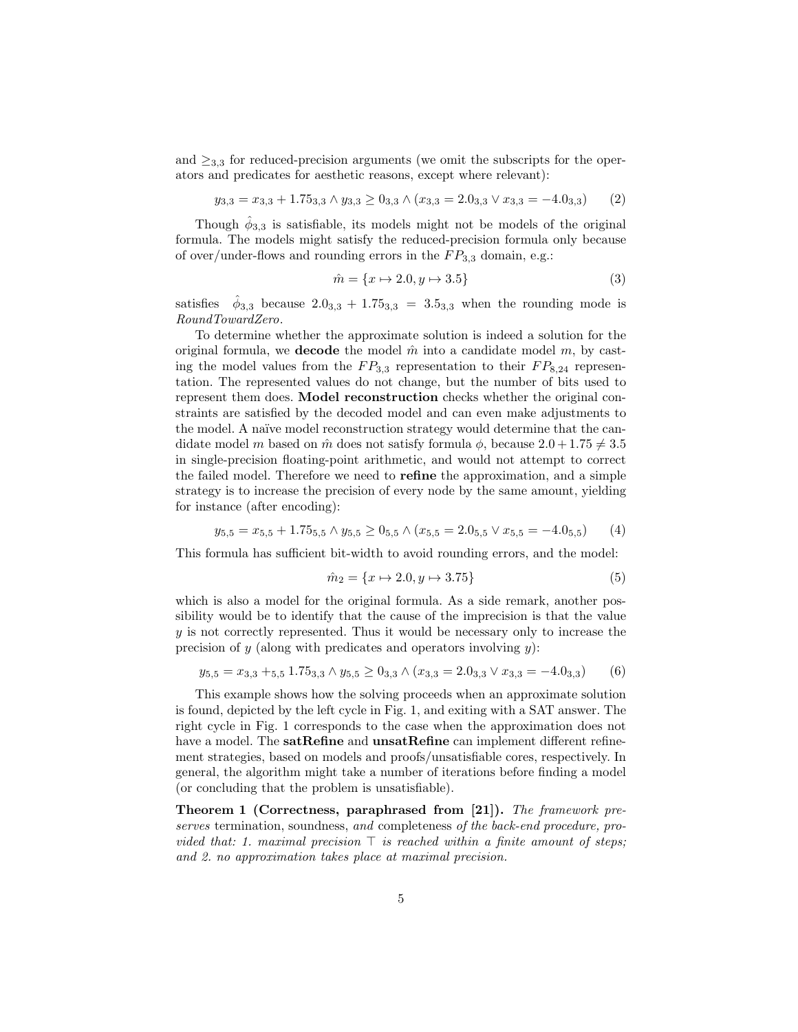and  $\geq_{3,3}$  for reduced-precision arguments (we omit the subscripts for the operators and predicates for aesthetic reasons, except where relevant):

$$
y_{3,3} = x_{3,3} + 1.75_{3,3} \land y_{3,3} \ge 0_{3,3} \land (x_{3,3} = 2.0_{3,3} \lor x_{3,3} = -4.0_{3,3})
$$
 (2)

Though  $\hat{\phi}_{3,3}$  is satisfiable, its models might not be models of the original formula. The models might satisfy the reduced-precision formula only because of over/under-flows and rounding errors in the  $FP_{3,3}$  domain, e.g.:

$$
\hat{m} = \{x \mapsto 2.0, y \mapsto 3.5\}
$$
\n<sup>(3)</sup>

satisfies  $\hat{\phi}_{3,3}$  because  $2.0_{3,3} + 1.75_{3,3} = 3.5_{3,3}$  when the rounding mode is RoundTowardZero.

To determine whether the approximate solution is indeed a solution for the original formula, we **decode** the model  $\hat{m}$  into a candidate model  $m$ , by casting the model values from the  $FP_{3,3}$  representation to their  $FP_{8,24}$  representation. The represented values do not change, but the number of bits used to represent them does. Model reconstruction checks whether the original constraints are satisfied by the decoded model and can even make adjustments to the model. A naïve model reconstruction strategy would determine that the candidate model m based on  $\hat{m}$  does not satisfy formula  $\phi$ , because  $2.0 + 1.75 \neq 3.5$ in single-precision floating-point arithmetic, and would not attempt to correct the failed model. Therefore we need to refine the approximation, and a simple strategy is to increase the precision of every node by the same amount, yielding for instance (after encoding):

$$
y_{5,5} = x_{5,5} + 1.75_{5,5} \land y_{5,5} \ge 0_{5,5} \land (x_{5,5} = 2.0_{5,5} \lor x_{5,5} = -4.0_{5,5}) \tag{4}
$$

This formula has sufficient bit-width to avoid rounding errors, and the model:

$$
\hat{m}_2 = \{x \mapsto 2.0, y \mapsto 3.75\} \tag{5}
$$

which is also a model for the original formula. As a side remark, another possibility would be to identify that the cause of the imprecision is that the value y is not correctly represented. Thus it would be necessary only to increase the precision of  $y$  (along with predicates and operators involving  $y$ ):

$$
y_{5,5} = x_{3,3} +_{5,5} 1.75_{3,3} \land y_{5,5} \ge 0_{3,3} \land (x_{3,3} = 2.0_{3,3} \lor x_{3,3} = -4.0_{3,3})
$$
 (6)

This example shows how the solving proceeds when an approximate solution is found, depicted by the left cycle in Fig. 1, and exiting with a SAT answer. The right cycle in Fig. 1 corresponds to the case when the approximation does not have a model. The **satRefine** and **unsatRefine** can implement different refinement strategies, based on models and proofs/unsatisfiable cores, respectively. In general, the algorithm might take a number of iterations before finding a model (or concluding that the problem is unsatisfiable).

Theorem 1 (Correctness, paraphrased from [21]). The framework preserves termination, soundness, and completeness of the back-end procedure, provided that: 1. maximal precision  $\top$  is reached within a finite amount of steps: and 2. no approximation takes place at maximal precision.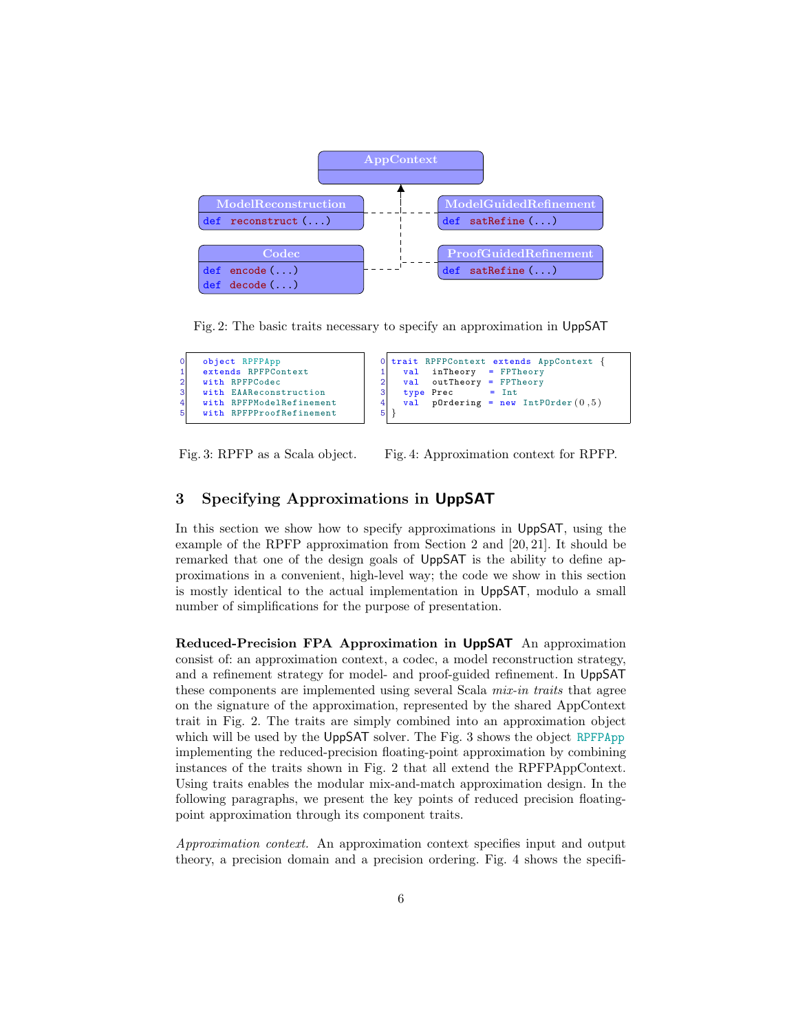

Fig. 2: The basic traits necessary to specify an approximation in UppSAT

| 01             | object RPFPApp           |                |  | 0 trait RPFPContext extends AppContext { |
|----------------|--------------------------|----------------|--|------------------------------------------|
|                | extends RPFPContext      |                |  | val inTheory = FPTheory                  |
| $\mathbf{2}$   | with RPFPCodec           | $\overline{2}$ |  | val outTheory = FPTheory                 |
| 3 <sup>1</sup> | with EAAReconstruction   | $\mathbf{3}$   |  | $type$ Prec = Int                        |
| 41             | with RPFPModelRefinement | $\overline{4}$ |  | val p0rdering = new IntP0rder $(0,5)$    |
| 51             | with RPFPProofRefinement | 5              |  |                                          |
|                |                          |                |  |                                          |

Fig. 3: RPFP as a Scala object.

Fig. 4: Approximation context for RPFP.

## 3 Specifying Approximations in UppSAT

In this section we show how to specify approximations in UppSAT, using the example of the RPFP approximation from Section 2 and [20, 21]. It should be remarked that one of the design goals of UppSAT is the ability to define approximations in a convenient, high-level way; the code we show in this section is mostly identical to the actual implementation in UppSAT, modulo a small number of simplifications for the purpose of presentation.

Reduced-Precision FPA Approximation in UppSAT An approximation consist of: an approximation context, a codec, a model reconstruction strategy, and a refinement strategy for model- and proof-guided refinement. In UppSAT these components are implemented using several Scala *mix-in traits* that agree on the signature of the approximation, represented by the shared AppContext trait in Fig. 2. The traits are simply combined into an approximation object which will be used by the UppSAT solver. The Fig. 3 shows the object RPFPApp implementing the reduced-precision floating-point approximation by combining instances of the traits shown in Fig. 2 that all extend the RPFPAppContext. Using traits enables the modular mix-and-match approximation design. In the following paragraphs, we present the key points of reduced precision floatingpoint approximation through its component traits.

Approximation context. An approximation context specifies input and output theory, a precision domain and a precision ordering. Fig. 4 shows the specifi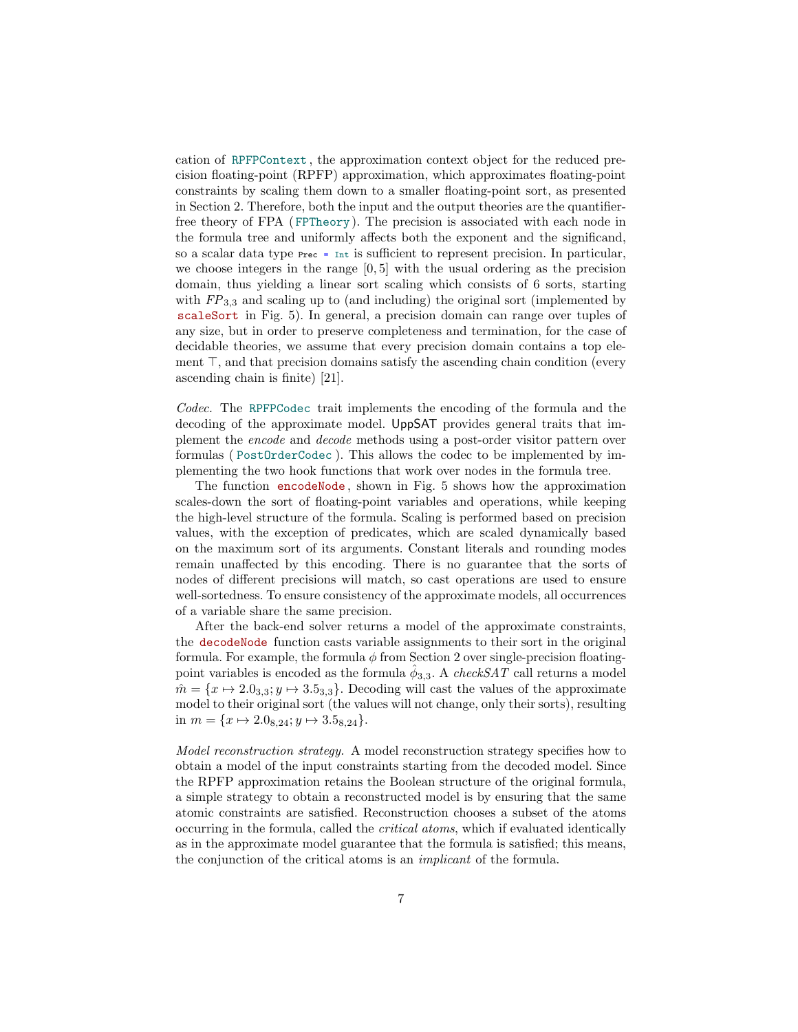cation of RPFPContext , the approximation context object for the reduced precision floating-point (RPFP) approximation, which approximates floating-point constraints by scaling them down to a smaller floating-point sort, as presented in Section 2. Therefore, both the input and the output theories are the quantifierfree theory of FPA ( FPTheory). The precision is associated with each node in the formula tree and uniformly affects both the exponent and the significand, so a scalar data type Prec = Int is sufficient to represent precision. In particular, we choose integers in the range  $[0, 5]$  with the usual ordering as the precision domain, thus yielding a linear sort scaling which consists of 6 sorts, starting with  $FP_{3,3}$  and scaling up to (and including) the original sort (implemented by scaleSort in Fig. 5). In general, a precision domain can range over tuples of any size, but in order to preserve completeness and termination, for the case of decidable theories, we assume that every precision domain contains a top element  $\top$ , and that precision domains satisfy the ascending chain condition (every ascending chain is finite) [21].

Codec. The RPFPCodec trait implements the encoding of the formula and the decoding of the approximate model. UppSAT provides general traits that implement the encode and decode methods using a post-order visitor pattern over formulas ( PostOrderCodec ). This allows the codec to be implemented by implementing the two hook functions that work over nodes in the formula tree.

The function encodeNode , shown in Fig. 5 shows how the approximation scales-down the sort of floating-point variables and operations, while keeping the high-level structure of the formula. Scaling is performed based on precision values, with the exception of predicates, which are scaled dynamically based on the maximum sort of its arguments. Constant literals and rounding modes remain unaffected by this encoding. There is no guarantee that the sorts of nodes of different precisions will match, so cast operations are used to ensure well-sortedness. To ensure consistency of the approximate models, all occurrences of a variable share the same precision.

After the back-end solver returns a model of the approximate constraints, the decodeNode function casts variable assignments to their sort in the original formula. For example, the formula  $\phi$  from Section 2 over single-precision floatingpoint variables is encoded as the formula  $\hat{\phi}_{3,3}$ . A *checkSAT* call returns a model  $\hat{m} = \{x \mapsto 2.0_{3,3}; y \mapsto 3.5_{3,3}\}.$  Decoding will cast the values of the approximate model to their original sort (the values will not change, only their sorts), resulting in  $m = \{x \mapsto 2.0_{8,24}; y \mapsto 3.5_{8,24}\}.$ 

Model reconstruction strategy. A model reconstruction strategy specifies how to obtain a model of the input constraints starting from the decoded model. Since the RPFP approximation retains the Boolean structure of the original formula, a simple strategy to obtain a reconstructed model is by ensuring that the same atomic constraints are satisfied. Reconstruction chooses a subset of the atoms occurring in the formula, called the critical atoms, which if evaluated identically as in the approximate model guarantee that the formula is satisfied; this means, the conjunction of the critical atoms is an implicant of the formula.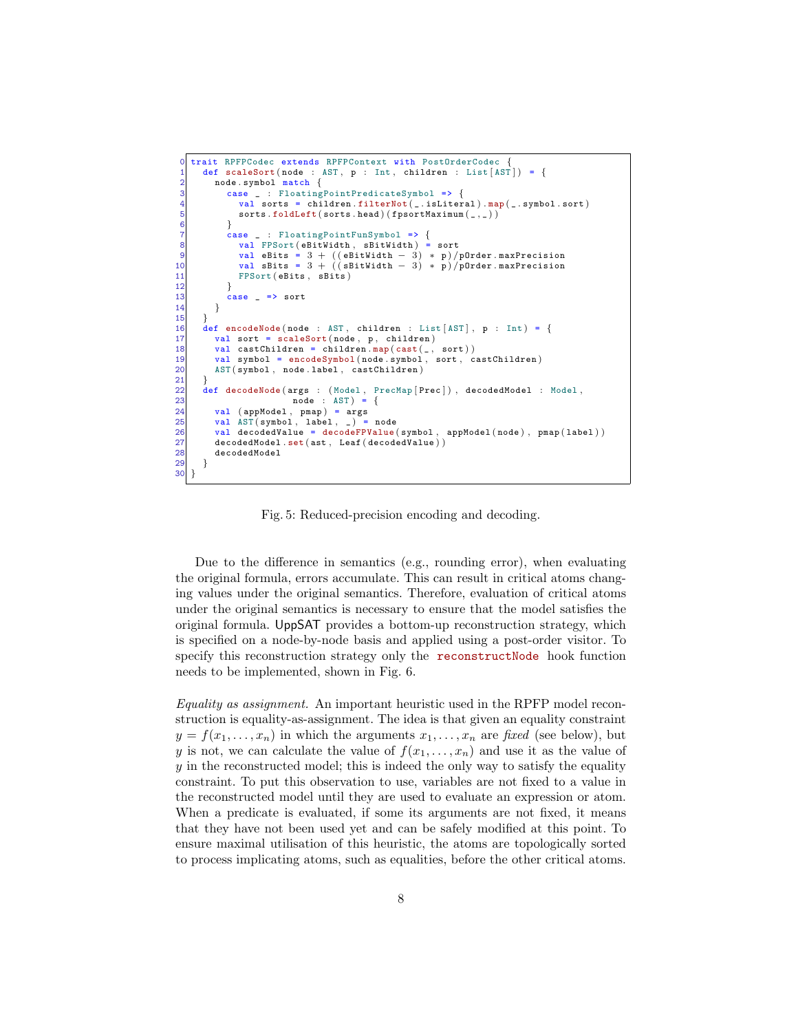```
trait RPFPCodec extends RPFPContext with PostOrderCodec {
  1 def scaleSort (node : AST, p : Int, children : List [AST]) = {<br>node.svmbol match {
 2 node symbol match {<br>3 case _ : Floatingl
  3 case _ : FloatingPointPredicateSymbol => {
4 val sorts = children . filterNot ( _ . isLiteral ) . map ( _ . symbol . sort )
 \overline{5} sorts \overline{5} foldLeft (sorts . head ) (fpsortMaximum (-, -))
  6 }
  7 case _ : FloatingPointFunSymbol => {
 8 val FPSort (eBitWidth, sBitWidth) = sort<br>9 val eBits = 3 + ((eBitWidth − 3) * p)/pOrder .maxPrecision<br>10 val sBits = 3 + ((sBitWidth − 3) * p)/pOrder .maxPrecision
11 FPSort (eBits, sBits)
\frac{12}{13}case \t = > sort\begin{array}{c} 14 \\ 15 \end{array} }
16 def encodeNode(node : AST, children : List [AST], p : Int) = {<br>17 val sort = scaleSort(node, p, children)
17 val sort = scaleSort (node, p, children)<br>18 val castChildren = children.map(cast(_,
            val castChildren = children map(cast(\_, sort))19 val symbol = encodeSymbol ( node . symbol , sort , castChildren )
20 AST ( symbol , node . label , castChildren )
19<br>20<br>21<br>22<br>23def decodeNode (args : (Model, PrecMap [Prec]), decodedModel : Model,
23 node : AST = {<br>24 val (appModel, pmap) = args<br>25 val AST (symbol, label, _) = 1
            val ( appModel, pmap ) = args
25 val AST ( symbol, label, _) = node<br>
26 val decodedValue = decodeFPValue
26 val decodedValue = decodeFPValue ( symbol, appModel ( node ), pmap ( label ) )<br>27 decodedModel .set ( ast , Leaf ( decodedValue ) )<br>28 decodedModel
            \mathtt{decodedModel}.\mathtt{set}(\mathtt{ast},\ \mathtt{Leaf}(\mathtt{decodedValue}))decodedModel
29 }
30 }
```
Fig. 5: Reduced-precision encoding and decoding.

Due to the difference in semantics (e.g., rounding error), when evaluating the original formula, errors accumulate. This can result in critical atoms changing values under the original semantics. Therefore, evaluation of critical atoms under the original semantics is necessary to ensure that the model satisfies the original formula. UppSAT provides a bottom-up reconstruction strategy, which is specified on a node-by-node basis and applied using a post-order visitor. To specify this reconstruction strategy only the reconstructNode hook function needs to be implemented, shown in Fig. 6.

Equality as assignment. An important heuristic used in the RPFP model reconstruction is equality-as-assignment. The idea is that given an equality constraint  $y = f(x_1, \ldots, x_n)$  in which the arguments  $x_1, \ldots, x_n$  are fixed (see below), but y is not, we can calculate the value of  $f(x_1, \ldots, x_n)$  and use it as the value of  $y$  in the reconstructed model; this is indeed the only way to satisfy the equality constraint. To put this observation to use, variables are not fixed to a value in the reconstructed model until they are used to evaluate an expression or atom. When a predicate is evaluated, if some its arguments are not fixed, it means that they have not been used yet and can be safely modified at this point. To ensure maximal utilisation of this heuristic, the atoms are topologically sorted to process implicating atoms, such as equalities, before the other critical atoms.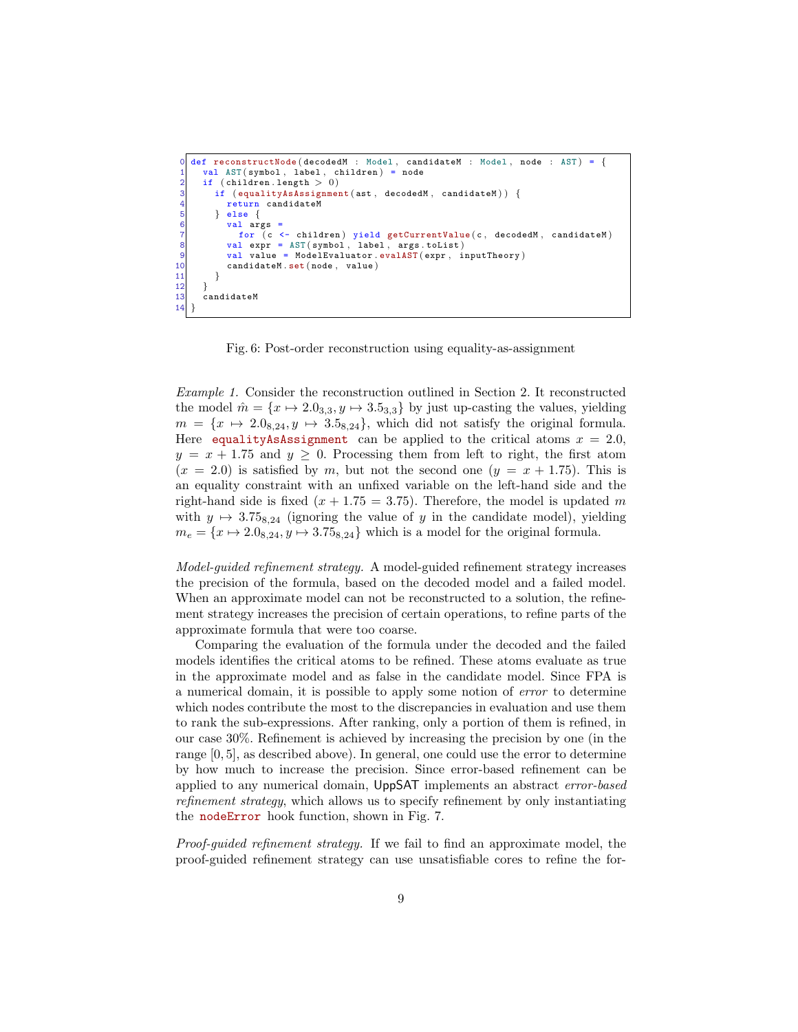```
def reconstructNode ( decodedM : Model, candidateM : Model, node : AST ) = {
      val AST (symbol, label, children) = node
 2 if (children.length > 0)<br>3 if (equalityAsAssignmer
         if ( equalityAsAssignment (ast, decodedM, candidateM ) ) {
 4 return candidateM<br>5 } else {
           else \{val args
              for (c \leftarrow \text{children}) yield getCurrentValue (c, \text{decodedM}, \text{ candidateM})val expr = AST(symbol, label, args.tolist)9 val value = ModelEvaluator evalAST (expr, inputTheory)<br>10 candidateM.set (node, value)
            candidateM.set(node, value)\begin{array}{c} 11 \\ 12 \end{array} }
\frac{12}{13}candidateM
14
```
Fig. 6: Post-order reconstruction using equality-as-assignment

Example 1. Consider the reconstruction outlined in Section 2. It reconstructed the model  $\hat{m} = \{x \mapsto 2.0_{3,3}, y \mapsto 3.5_{3,3}\}$  by just up-casting the values, yielding  $m = \{x \mapsto 2.0_{8,24}, y \mapsto 3.5_{8,24}\},$  which did not satisfy the original formula. Here equalityAsAssignment can be applied to the critical atoms  $x = 2.0$ ,  $y = x + 1.75$  and  $y \ge 0$ . Processing them from left to right, the first atom  $(x = 2.0)$  is satisfied by m, but not the second one  $(y = x + 1.75)$ . This is an equality constraint with an unfixed variable on the left-hand side and the right-hand side is fixed  $(x + 1.75 = 3.75)$ . Therefore, the model is updated m with  $y \mapsto 3.75_{8,24}$  (ignoring the value of y in the candidate model), yielding  $m_e = \{x \mapsto 2.0_{8,24}, y \mapsto 3.75_{8,24}\}\$  which is a model for the original formula.

Model-guided refinement strategy. A model-guided refinement strategy increases the precision of the formula, based on the decoded model and a failed model. When an approximate model can not be reconstructed to a solution, the refinement strategy increases the precision of certain operations, to refine parts of the approximate formula that were too coarse.

Comparing the evaluation of the formula under the decoded and the failed models identifies the critical atoms to be refined. These atoms evaluate as true in the approximate model and as false in the candidate model. Since FPA is a numerical domain, it is possible to apply some notion of error to determine which nodes contribute the most to the discrepancies in evaluation and use them to rank the sub-expressions. After ranking, only a portion of them is refined, in our case 30%. Refinement is achieved by increasing the precision by one (in the range [0, 5], as described above). In general, one could use the error to determine by how much to increase the precision. Since error-based refinement can be applied to any numerical domain, UppSAT implements an abstract error-based refinement strategy, which allows us to specify refinement by only instantiating the nodeError hook function, shown in Fig. 7.

Proof-guided refinement strategy. If we fail to find an approximate model, the proof-guided refinement strategy can use unsatisfiable cores to refine the for-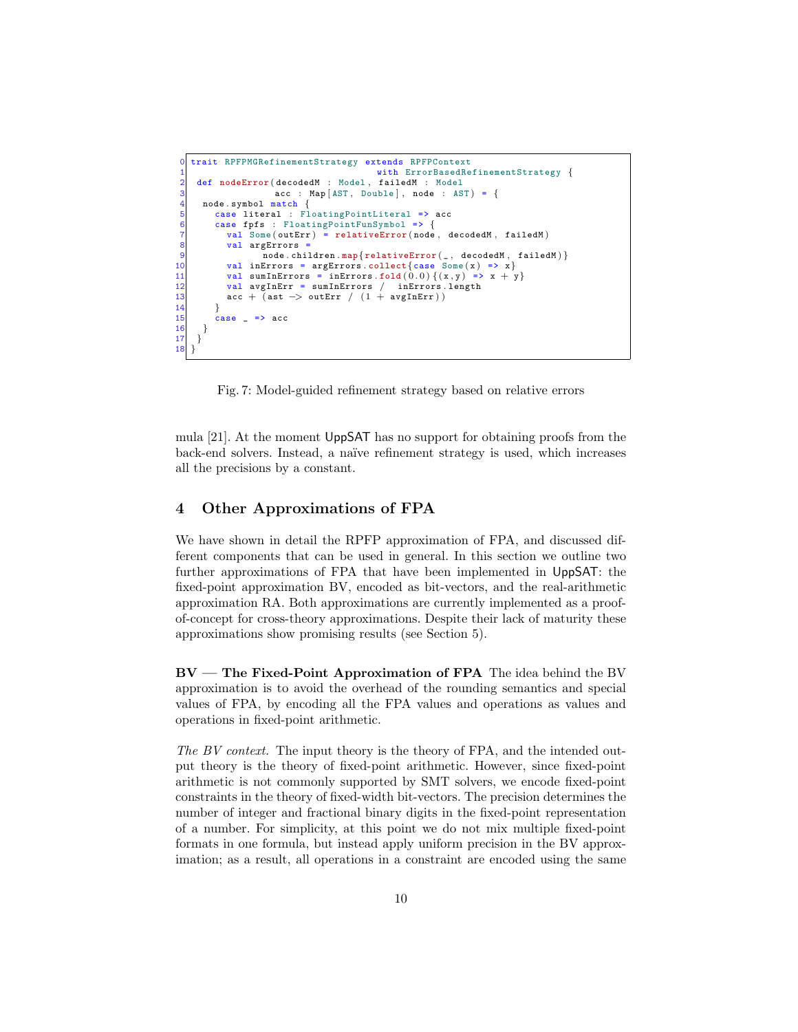```
trait RPFPMGRefinementStrategy extends RPFPContext
                                                     with ErrorBasedRefinementStrategy {
 2 def nodeError ( decodedM : Model, failedM : Model<br>3 acc : Map [AST, Double], node : AS
                          \c{a} acc : Map [AST, Double], node : AST) = {
 \begin{bmatrix} 4 \\ 5 \end{bmatrix} node symbol match {
          case literal : FloatingPointLiteral => acc
 6 case fpfs : FloatingPointFunSymbol => {
             val Some ( outErr ) = relativeError ( node, decodedM, failedM)
             val argErrors =
                       \frac{3}{2} node.children.map{relativeError(_, decodedM, failedM)}
10 val inErrors = argErrors.collect{case Some(x) => x}<br>11 val sumInErrors = inErrors.fold(0.0){(x,y) => x + y
11 val sumInErrors = inErrors.fold (0.0) {(x, y) => x + y}<br>12 val avgInErr = sumInErrors / inErrors.length
12 val avgInErr = sumInErrors / inErrors .length<br>13 acc + (ast -> outErr / (1 + \text{avgInErr}))
             \texttt{acc} + \texttt{(ast} \to \texttt{outErr} / (1 + \texttt{avgInErr}))14<br>15case => acc\begin{array}{c} 16 \ \ 17 \ \end{array}\frac{1}{18}
```
Fig. 7: Model-guided refinement strategy based on relative errors

mula [21]. At the moment UppSAT has no support for obtaining proofs from the back-end solvers. Instead, a naïve refinement strategy is used, which increases all the precisions by a constant.

## 4 Other Approximations of FPA

We have shown in detail the RPFP approximation of FPA, and discussed different components that can be used in general. In this section we outline two further approximations of FPA that have been implemented in UppSAT: the fixed-point approximation BV, encoded as bit-vectors, and the real-arithmetic approximation RA. Both approximations are currently implemented as a proofof-concept for cross-theory approximations. Despite their lack of maturity these approximations show promising results (see Section 5).

BV — The Fixed-Point Approximation of FPA The idea behind the BV approximation is to avoid the overhead of the rounding semantics and special values of FPA, by encoding all the FPA values and operations as values and operations in fixed-point arithmetic.

The BV context. The input theory is the theory of FPA, and the intended output theory is the theory of fixed-point arithmetic. However, since fixed-point arithmetic is not commonly supported by SMT solvers, we encode fixed-point constraints in the theory of fixed-width bit-vectors. The precision determines the number of integer and fractional binary digits in the fixed-point representation of a number. For simplicity, at this point we do not mix multiple fixed-point formats in one formula, but instead apply uniform precision in the BV approximation; as a result, all operations in a constraint are encoded using the same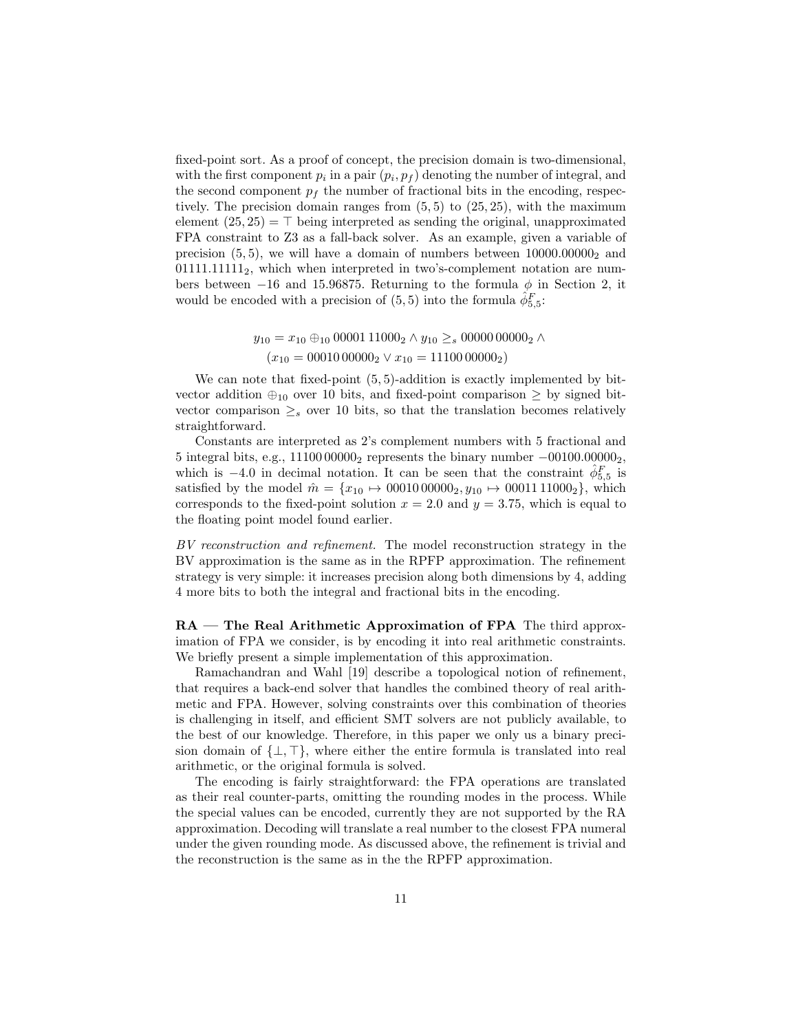fixed-point sort. As a proof of concept, the precision domain is two-dimensional, with the first component  $p_i$  in a pair  $(p_i, p_f)$  denoting the number of integral, and the second component  $p_f$  the number of fractional bits in the encoding, respectively. The precision domain ranges from  $(5, 5)$  to  $(25, 25)$ , with the maximum element  $(25, 25) = \top$  being interpreted as sending the original, unapproximated FPA constraint to Z3 as a fall-back solver. As an example, given a variable of precision  $(5, 5)$ , we will have a domain of numbers between  $10000.00000<sub>2</sub>$  and  $01111.11111_2$ , which when interpreted in two's-complement notation are numbers between −16 and 15.96875. Returning to the formula  $\phi$  in Section 2, it would be encoded with a precision of  $(5,5)$  into the formula  $\hat{\phi}^F_{5,5}$ :

$$
y_{10} = x_{10} \oplus_{10} 0000111000_2 \wedge y_{10} \geq_s 0000000000_2 \wedge (x_{10} = 0001000000_2 \vee x_{10} = 1110000000_2)
$$

We can note that fixed-point  $(5, 5)$ -addition is exactly implemented by bitvector addition  $\oplus_{10}$  over 10 bits, and fixed-point comparison  $\geq$  by signed bitvector comparison  $\geq_s$  over 10 bits, so that the translation becomes relatively straightforward.

Constants are interpreted as 2's complement numbers with 5 fractional and 5 integral bits, e.g., 11100 00000<sup>2</sup> represents the binary number −00100.000002, which is -4.0 in decimal notation. It can be seen that the constraint  $\hat{\phi}_{5,5}^F$  is satisfied by the model  $\hat{m} = \{x_{10} \mapsto 00010\,00000_2, y_{10} \mapsto 00011\,11000_2\}$ , which corresponds to the fixed-point solution  $x = 2.0$  and  $y = 3.75$ , which is equal to the floating point model found earlier.

BV reconstruction and refinement. The model reconstruction strategy in the BV approximation is the same as in the RPFP approximation. The refinement strategy is very simple: it increases precision along both dimensions by 4, adding 4 more bits to both the integral and fractional bits in the encoding.

RA — The Real Arithmetic Approximation of FPA The third approximation of FPA we consider, is by encoding it into real arithmetic constraints. We briefly present a simple implementation of this approximation.

Ramachandran and Wahl [19] describe a topological notion of refinement, that requires a back-end solver that handles the combined theory of real arithmetic and FPA. However, solving constraints over this combination of theories is challenging in itself, and efficient SMT solvers are not publicly available, to the best of our knowledge. Therefore, in this paper we only us a binary precision domain of  $\{\bot, \top\}$ , where either the entire formula is translated into real arithmetic, or the original formula is solved.

The encoding is fairly straightforward: the FPA operations are translated as their real counter-parts, omitting the rounding modes in the process. While the special values can be encoded, currently they are not supported by the RA approximation. Decoding will translate a real number to the closest FPA numeral under the given rounding mode. As discussed above, the refinement is trivial and the reconstruction is the same as in the the RPFP approximation.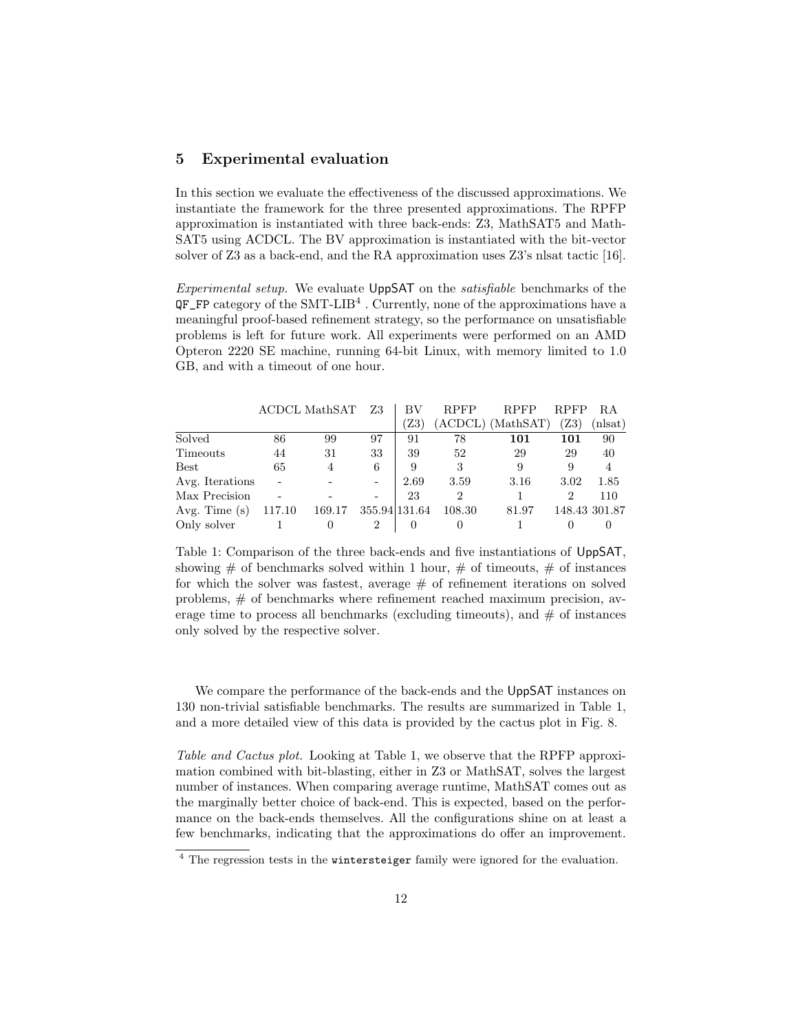#### 5 Experimental evaluation

In this section we evaluate the effectiveness of the discussed approximations. We instantiate the framework for the three presented approximations. The RPFP approximation is instantiated with three back-ends: Z3, MathSAT5 and Math-SAT5 using ACDCL. The BV approximation is instantiated with the bit-vector solver of Z3 as a back-end, and the RA approximation uses Z3's nlsat tactic [16].

Experimental setup. We evaluate UppSAT on the satisfiable benchmarks of the  $QF_F$ P category of the SMT-LIB<sup>4</sup>. Currently, none of the approximations have a meaningful proof-based refinement strategy, so the performance on unsatisfiable problems is left for future work. All experiments were performed on an AMD Opteron 2220 SE machine, running 64-bit Linux, with memory limited to 1.0 GB, and with a timeout of one hour.

|                 |        | ACDCL MathSAT  | Z3                           | ВV   | <b>RPFP</b>    | RPFP              | <b>RPFP</b>    | R.A            |
|-----------------|--------|----------------|------------------------------|------|----------------|-------------------|----------------|----------------|
|                 |        |                |                              | Z3)  |                | (ACDCL) (MathSAT) | Z3)            | (nlsat)        |
| Solved          | 86     | 99             | 97                           | 91   | 78             | 101               | 101            | 90             |
| Timeouts        | 44     | 31             | 33                           | 39   | 52             | 29                | 29             | 40             |
| <b>Best</b>     | 65     | $\overline{4}$ | 6                            | 9    | 3              |                   | 9              | $\overline{4}$ |
| Avg. Iterations |        |                | $\qquad \qquad \blacksquare$ | 2.69 | 3.59           | 3.16              | 3.02           | 1.85           |
| Max Precision   |        |                | $\overline{\phantom{0}}$     | 23   | $\overline{2}$ |                   | $\overline{2}$ | 110            |
| Avg. Time $(s)$ | 117.10 | 169.17         | 355.94 131.64                |      | 108.30         | 81.97             |                | 148.43 301.87  |
| Only solver     |        |                | 2                            |      |                |                   |                |                |

Table 1: Comparison of the three back-ends and five instantiations of UppSAT, showing  $\#$  of benchmarks solved within 1 hour,  $\#$  of timeouts,  $\#$  of instances for which the solver was fastest, average  $#$  of refinement iterations on solved problems, # of benchmarks where refinement reached maximum precision, average time to process all benchmarks (excluding timeouts), and  $#$  of instances only solved by the respective solver.

We compare the performance of the back-ends and the UppSAT instances on 130 non-trivial satisfiable benchmarks. The results are summarized in Table 1, and a more detailed view of this data is provided by the cactus plot in Fig. 8.

Table and Cactus plot. Looking at Table 1, we observe that the RPFP approximation combined with bit-blasting, either in Z3 or MathSAT, solves the largest number of instances. When comparing average runtime, MathSAT comes out as the marginally better choice of back-end. This is expected, based on the performance on the back-ends themselves. All the configurations shine on at least a few benchmarks, indicating that the approximations do offer an improvement.

<sup>&</sup>lt;sup>4</sup> The regression tests in the **wintersteiger** family were ignored for the evaluation.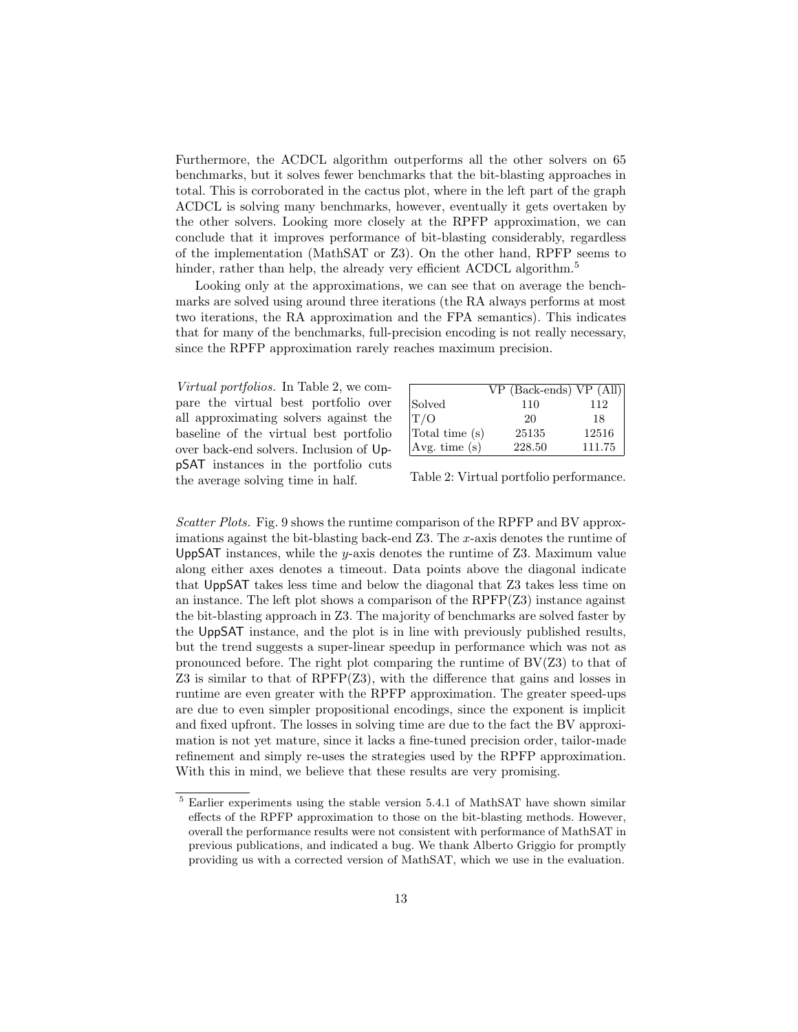Furthermore, the ACDCL algorithm outperforms all the other solvers on 65 benchmarks, but it solves fewer benchmarks that the bit-blasting approaches in total. This is corroborated in the cactus plot, where in the left part of the graph ACDCL is solving many benchmarks, however, eventually it gets overtaken by the other solvers. Looking more closely at the RPFP approximation, we can conclude that it improves performance of bit-blasting considerably, regardless of the implementation (MathSAT or Z3). On the other hand, RPFP seems to hinder, rather than help, the already very efficient ACDCL algorithm.<sup>5</sup>

Looking only at the approximations, we can see that on average the benchmarks are solved using around three iterations (the RA always performs at most two iterations, the RA approximation and the FPA semantics). This indicates that for many of the benchmarks, full-precision encoding is not really necessary, since the RPFP approximation rarely reaches maximum precision.

Virtual portfolios. In Table 2, we compare the virtual best portfolio over all approximating solvers against the baseline of the virtual best portfolio over back-end solvers. Inclusion of UppSAT instances in the portfolio cuts the average solving time in half.

|                | $VP$ (Back-ends) $VP$ (All) |        |
|----------------|-----------------------------|--------|
| Solved         | 110                         | 112    |
| T/O            | 20                          | 18     |
| Total time (s) | 25135                       | 12516  |
| Avg. time(s)   | 228.50                      | 111.75 |

Table 2: Virtual portfolio performance.

Scatter Plots. Fig. 9 shows the runtime comparison of the RPFP and BV approximations against the bit-blasting back-end  $Z3$ . The x-axis denotes the runtime of UppSAT instances, while the y-axis denotes the runtime of  $Z3$ . Maximum value along either axes denotes a timeout. Data points above the diagonal indicate that UppSAT takes less time and below the diagonal that Z3 takes less time on an instance. The left plot shows a comparison of the  $RPFP(Z3)$  instance against the bit-blasting approach in Z3. The majority of benchmarks are solved faster by the UppSAT instance, and the plot is in line with previously published results, but the trend suggests a super-linear speedup in performance which was not as pronounced before. The right plot comparing the runtime of  $BV(Z3)$  to that of Z3 is similar to that of RPFP(Z3), with the difference that gains and losses in runtime are even greater with the RPFP approximation. The greater speed-ups are due to even simpler propositional encodings, since the exponent is implicit and fixed upfront. The losses in solving time are due to the fact the BV approximation is not yet mature, since it lacks a fine-tuned precision order, tailor-made refinement and simply re-uses the strategies used by the RPFP approximation. With this in mind, we believe that these results are very promising.

<sup>5</sup> Earlier experiments using the stable version 5.4.1 of MathSAT have shown similar effects of the RPFP approximation to those on the bit-blasting methods. However, overall the performance results were not consistent with performance of MathSAT in previous publications, and indicated a bug. We thank Alberto Griggio for promptly providing us with a corrected version of MathSAT, which we use in the evaluation.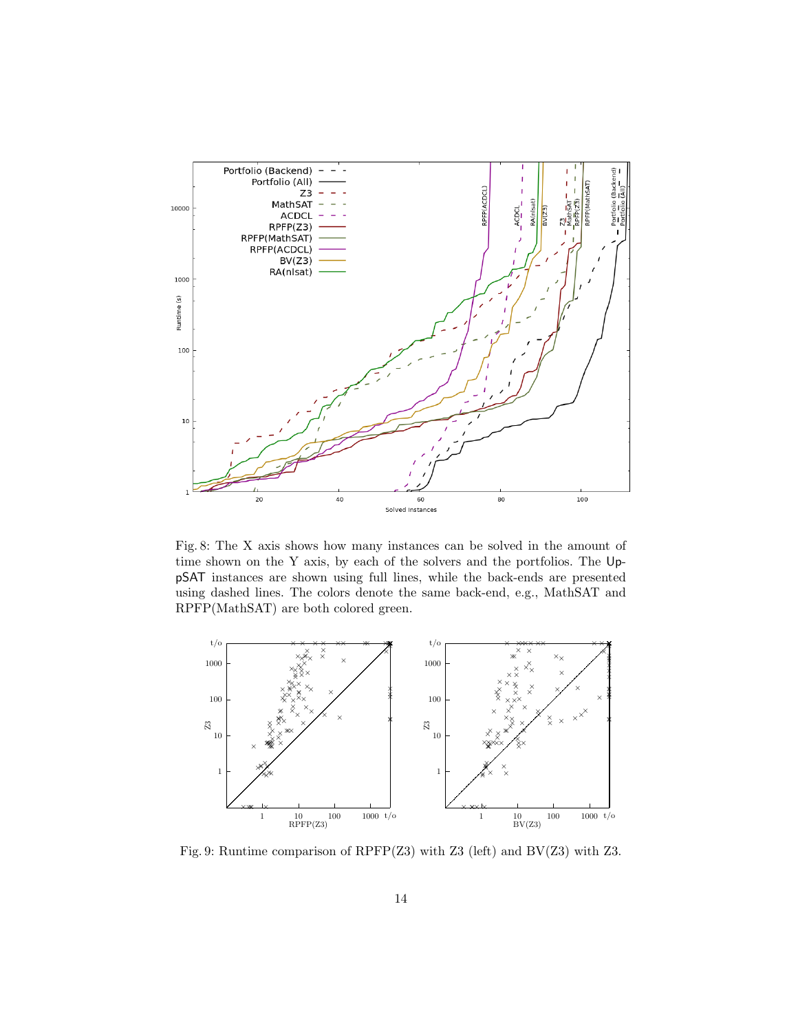

Fig. 8: The X axis shows how many instances can be solved in the amount of time shown on the Y axis, by each of the solvers and the portfolios. The UppSAT instances are shown using full lines, while the back-ends are presented using dashed lines. The colors denote the same back-end, e.g., MathSAT and RPFP(MathSAT) are both colored green.



Fig. 9: Runtime comparison of RPFP(Z3) with Z3 (left) and BV(Z3) with Z3.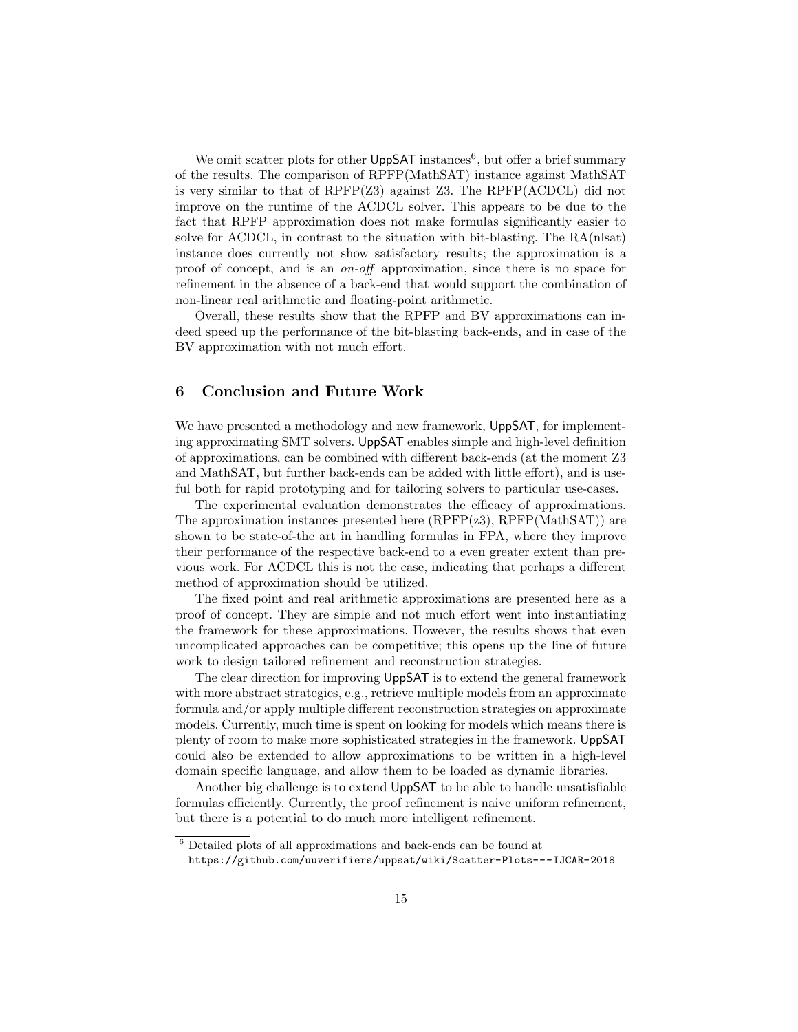We omit scatter plots for other  $\mathsf{UppSAT}$  instances<sup>6</sup>, but offer a brief summary of the results. The comparison of RPFP(MathSAT) instance against MathSAT is very similar to that of RPFP(Z3) against Z3. The RPFP(ACDCL) did not improve on the runtime of the ACDCL solver. This appears to be due to the fact that RPFP approximation does not make formulas significantly easier to solve for ACDCL, in contrast to the situation with bit-blasting. The RA(nlsat) instance does currently not show satisfactory results; the approximation is a proof of concept, and is an on-off approximation, since there is no space for refinement in the absence of a back-end that would support the combination of non-linear real arithmetic and floating-point arithmetic.

Overall, these results show that the RPFP and BV approximations can indeed speed up the performance of the bit-blasting back-ends, and in case of the BV approximation with not much effort.

## 6 Conclusion and Future Work

We have presented a methodology and new framework, UppSAT, for implementing approximating SMT solvers. UppSAT enables simple and high-level definition of approximations, can be combined with different back-ends (at the moment Z3 and MathSAT, but further back-ends can be added with little effort), and is useful both for rapid prototyping and for tailoring solvers to particular use-cases.

The experimental evaluation demonstrates the efficacy of approximations. The approximation instances presented here  $(RPFP(z3), RPFP(MathSAT))$  are shown to be state-of-the art in handling formulas in FPA, where they improve their performance of the respective back-end to a even greater extent than previous work. For ACDCL this is not the case, indicating that perhaps a different method of approximation should be utilized.

The fixed point and real arithmetic approximations are presented here as a proof of concept. They are simple and not much effort went into instantiating the framework for these approximations. However, the results shows that even uncomplicated approaches can be competitive; this opens up the line of future work to design tailored refinement and reconstruction strategies.

The clear direction for improving UppSAT is to extend the general framework with more abstract strategies, e.g., retrieve multiple models from an approximate formula and/or apply multiple different reconstruction strategies on approximate models. Currently, much time is spent on looking for models which means there is plenty of room to make more sophisticated strategies in the framework. UppSAT could also be extended to allow approximations to be written in a high-level domain specific language, and allow them to be loaded as dynamic libraries.

Another big challenge is to extend UppSAT to be able to handle unsatisfiable formulas efficiently. Currently, the proof refinement is naive uniform refinement, but there is a potential to do much more intelligent refinement.

 $^6$  Detailed plots of all approximations and back-ends can be found at

https://github.com/uuverifiers/uppsat/wiki/Scatter-Plots---IJCAR-2018